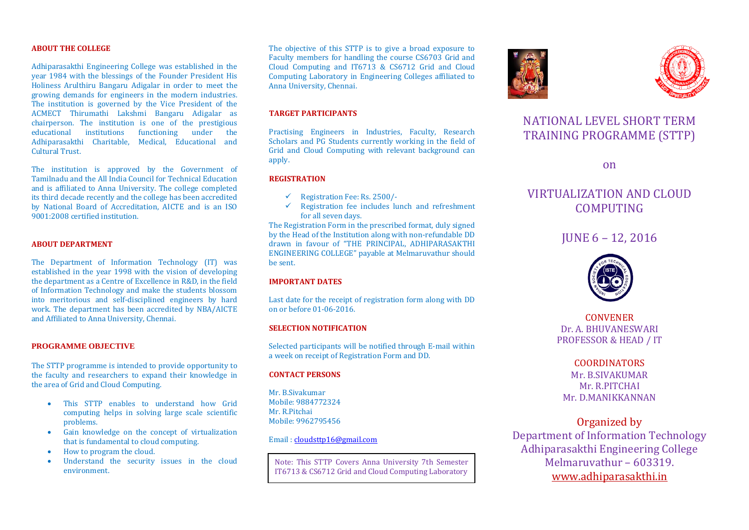#### **ABOUT THE COLLEGE**

Adhiparasakthi Engineering College was established in the year 1984 with the blessings of the Founder President His Holiness Arulthiru Bangaru Adigalar in order to meet the growing demands for engineers in the modern industries. The institution is governed by the Vice President of the ACMECT Thirumathi Lakshmi Bangaru Adigalar as chairperson. The institution is one of the prestigious educational institutions functioning under the Adhiparasakthi Charitable, Medical, Educational and Cultural Trust.

The institution is approved by the Government of Tamilnadu and the All India Council for Technical Education and is affiliated to Anna University. The college completed its third decade recently and the college has been accredited by National Board of Accreditation, AICTE and is an ISO 9001:2008 certified institution.

#### **ABOUT DEPARTMENT**

The Department of Information Technology (IT) was established in the year 1998 with the vision of developing the department as a Centre of Excellence in R&D, in the field of Information Technology and make the students blossom into meritorious and self-disciplined engineers by hard work. The department has been accredited by NBA/AICTE and Affiliated to Anna University, Chennai.

#### **PROGRAMME OBJECTIVE**

The STTP programme is intended to provide opportunity to the faculty and researchers to expand their knowledge in the area of Grid and Cloud Computing.

- This STTP enables to understand how Grid computing helps in solving large scale scientific problems.
- Gain knowledge on the concept of virtualization that is fundamental to cloud computing.
- How to program the cloud.
- Understand the security issues in the cloud environment.

The objective of this STTP is to give a broad exposure to Faculty members for handling the course CS6703 Grid and Cloud Computing and IT6713 & CS6712 Grid and Cloud Computing Laboratory in Engineering Colleges affiliated to Anna University, Chennai.

# **TARGET PARTICIPANTS**

Practising Engineers in Industries, Faculty, Research Scholars and PG Students currently working in the field of Grid and Cloud Computing with relevant background can apply.

#### **REGISTRATION**

- $\checkmark$  Registration Fee: Rs. 2500/-
- Registration fee includes lunch and refreshment for all seven days.

The Registration Form in the prescribed format, duly signed by the Head of the Institution along with non-refundable DD drawn in favour of "THE PRINCIPAL, ADHIPARASAKTHI ENGINEERING COLLEGE" payable at Melmaruvathur should be sent.

#### **IMPORTANT DATES**

Last date for the receipt of registration form along with DD on or before 01-06-2016.

### **SELECTION NOTIFICATION**

Selected participants will be notified through E-mail within a week on receipt of Registration Form and DD.

#### **CONTACT PERSONS**

Mr. B.Sivakumar Mobile: 9884772324 Mr. R.Pitchai Mobile: 9962795456

#### Email [: cloudsttp16@gmail.com](mailto:cloudsttp16@gmail.com)

Note: This STTP Covers Anna University 7th Semester IT6713 & CS6712 Grid and Cloud Computing Laboratory





# NATIONAL LEVEL SHORT TERM TRAINING PROGRAMME (STTP)

on

# VIRTUALIZATION AND CLOUD COMPUTING

# JUNE 6 – 12, 2016



CONVENER Dr. A. BHUVANESWARI PROFESSOR & HEAD / IT

# COORDINATORS Mr. B.SIVAKUMAR Mr. R.PITCHAI

Mr. D.MANIKKANNAN

# Organized by

Department of Information Technology Adhiparasakthi Engineering College Melmaruvathur – 603319. [www.adhiparasakthi.in](http://www.adhiparasakthi.in/)